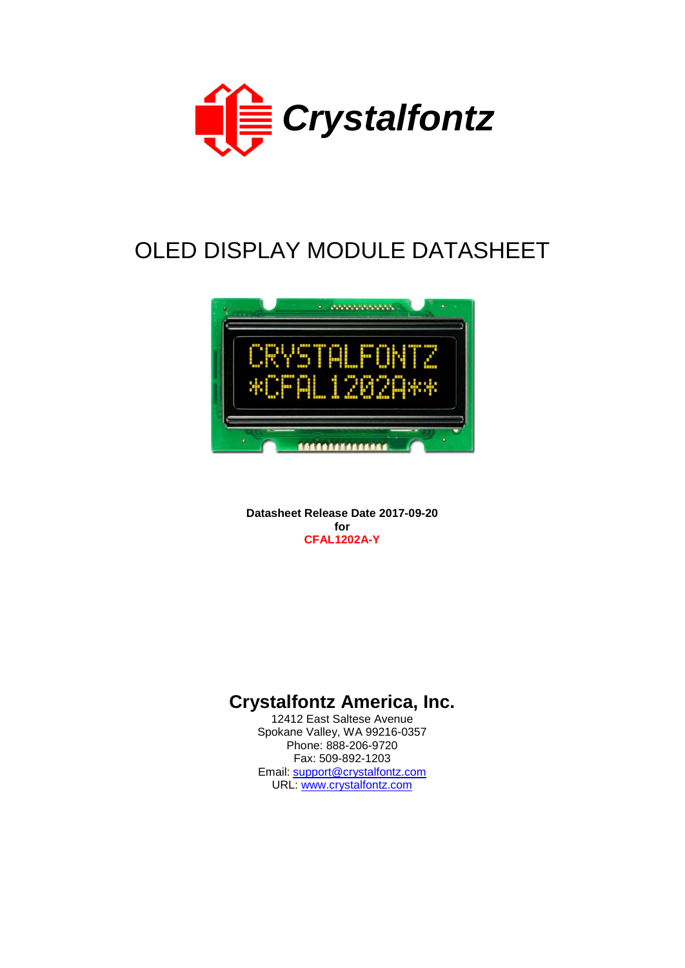

# OLED DISPLAY MODULE DATASHEET



**Datasheet Release Date 2017-09-20 for CFAL1202A-Y**

# **Crystalfontz America, Inc.**

12412 East Saltese Avenue Spokane Valley, WA 99216-0357 Phone: 888-206-9720 Fax: 509-892-1203 Email: [support@crystalfontz.com](mailto:support@crystalfontz.com) URL: [www.crystalfontz.com](http://www.crystalfontz.com/)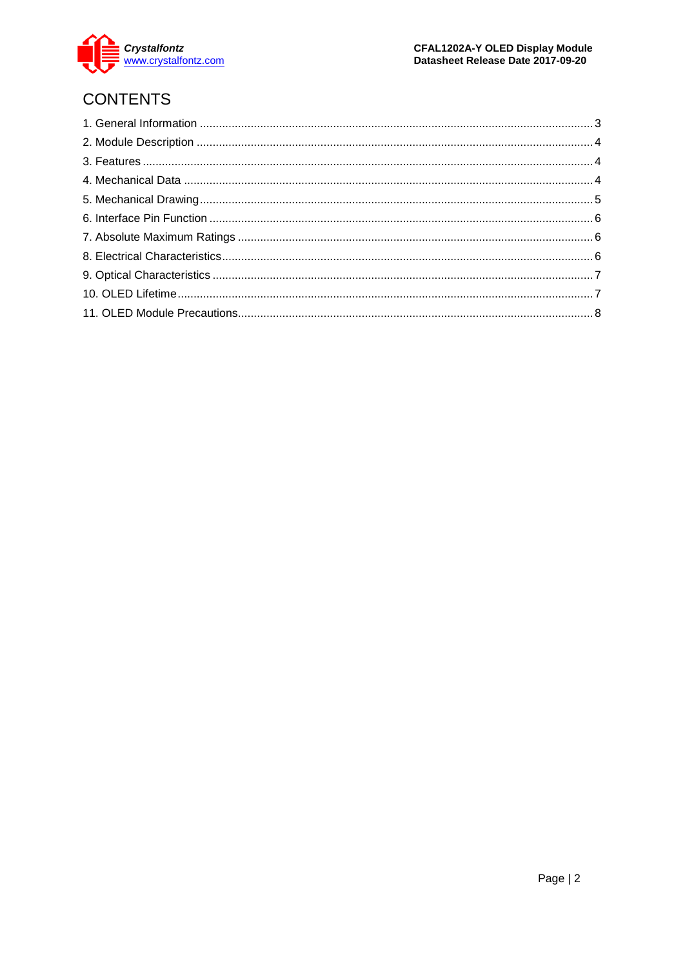

# **CONTENTS**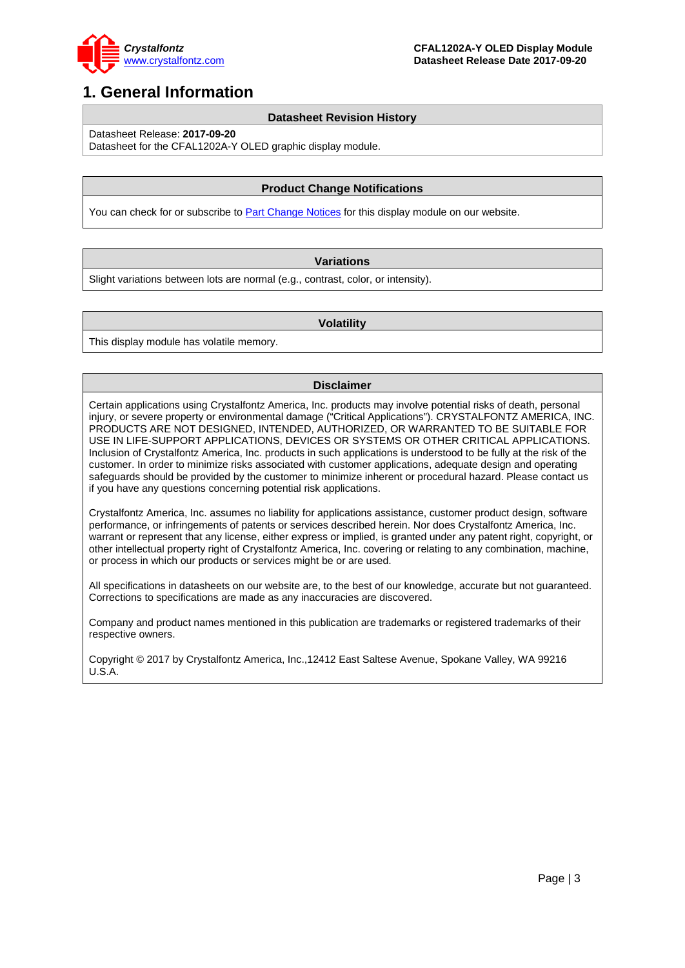

### <span id="page-2-0"></span>**1. General Information**

#### **Datasheet Revision History**

Datasheet Release: **2017-09-20**

### Datasheet for the CFAL1202A-Y OLED graphic display module.

#### **Product Change Notifications**

You can check for or subscribe t[o Part Change Notices](https://www.crystalfontz.com/news/pcn.php) for this display module on our website.

#### **Variations**

Slight variations between lots are normal (e.g., contrast, color, or intensity).

#### **Volatility**

This display module has volatile memory.

#### **Disclaimer**

Certain applications using Crystalfontz America, Inc. products may involve potential risks of death, personal injury, or severe property or environmental damage ("Critical Applications"). CRYSTALFONTZ AMERICA, INC. PRODUCTS ARE NOT DESIGNED, INTENDED, AUTHORIZED, OR WARRANTED TO BE SUITABLE FOR USE IN LIFE-SUPPORT APPLICATIONS, DEVICES OR SYSTEMS OR OTHER CRITICAL APPLICATIONS. Inclusion of Crystalfontz America, Inc. products in such applications is understood to be fully at the risk of the customer. In order to minimize risks associated with customer applications, adequate design and operating safeguards should be provided by the customer to minimize inherent or procedural hazard. Please contact us if you have any questions concerning potential risk applications.

Crystalfontz America, Inc. assumes no liability for applications assistance, customer product design, software performance, or infringements of patents or services described herein. Nor does Crystalfontz America, Inc. warrant or represent that any license, either express or implied, is granted under any patent right, copyright, or other intellectual property right of Crystalfontz America, Inc. covering or relating to any combination, machine, or process in which our products or services might be or are used.

All specifications in datasheets on our website are, to the best of our knowledge, accurate but not guaranteed. Corrections to specifications are made as any inaccuracies are discovered.

Company and product names mentioned in this publication are trademarks or registered trademarks of their respective owners.

Copyright © 2017 by Crystalfontz America, Inc.,12412 East Saltese Avenue, Spokane Valley, WA 99216 U.S.A.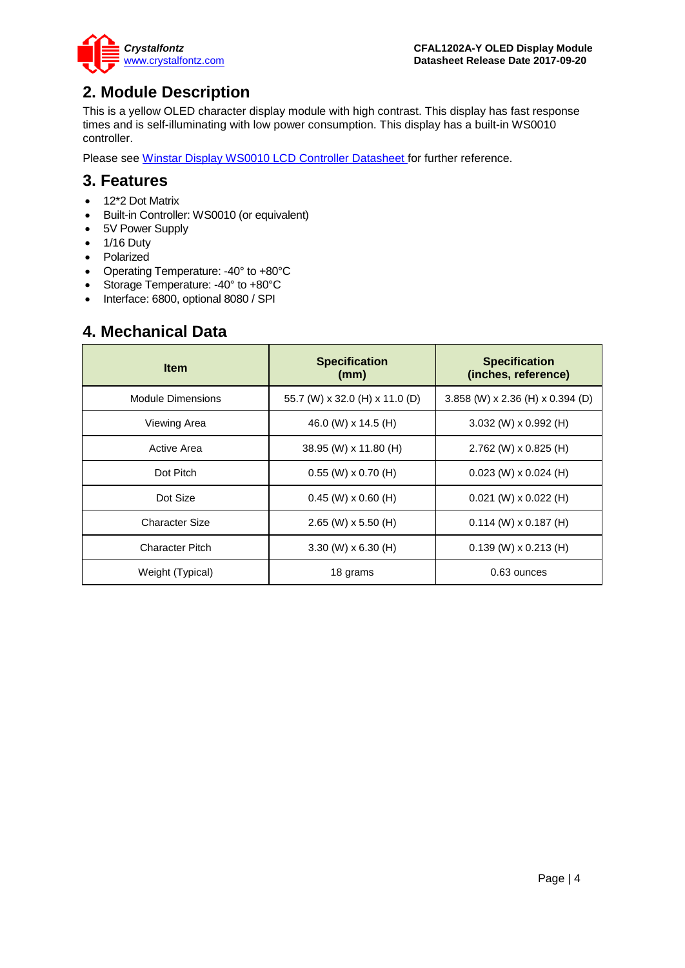

### <span id="page-3-0"></span>**2. Module Description**

This is a yellow OLED character display module with high contrast. This display has fast response times and is self-illuminating with low power consumption. This display has a built-in WS0010 controller.

Please see [Winstar Display WS0010 LCD Controller Datasheet f](https://www.crystalfontz.com/controllers/Winstar%20Display/WS0010/)or further reference.

### <span id="page-3-1"></span>**3. Features**

- 12\*2 Dot Matrix
- Built-in Controller: WS0010 (or equivalent)
- 5V Power Supply
- 1/16 Duty<br>• Polarized
- Polarized
- Operating Temperature: -40° to +80°C
- Storage Temperature: -40° to +80°C
- Interface: 6800, optional 8080 / SPI

### <span id="page-3-2"></span>**4. Mechanical Data**

| <b>Item</b>              | <b>Specification</b><br>(mm)   | <b>Specification</b><br>(inches, reference) |  |
|--------------------------|--------------------------------|---------------------------------------------|--|
| <b>Module Dimensions</b> | 55.7 (W) x 32.0 (H) x 11.0 (D) | 3.858 (W) $x 2.36$ (H) $x 0.394$ (D)        |  |
| Viewing Area             | 46.0 (W) x 14.5 (H)            | 3.032 (W) $\times$ 0.992 (H)                |  |
| Active Area              | 38.95 (W) x 11.80 (H)          | 2.762 (W) x 0.825 (H)                       |  |
| Dot Pitch                | $0.55$ (W) x 0.70 (H)          | $0.023$ (W) x $0.024$ (H)                   |  |
| Dot Size                 | $0.45$ (W) x 0.60 (H)          | $0.021$ (W) x $0.022$ (H)                   |  |
| <b>Character Size</b>    | 2.65 (W) $\times$ 5.50 (H)     | $0.114$ (W) x $0.187$ (H)                   |  |
| <b>Character Pitch</b>   | $3.30 \ (W) \times 6.30 \ (H)$ | $0.139$ (W) x $0.213$ (H)                   |  |
| Weight (Typical)         | 18 grams                       | 0.63 ounces                                 |  |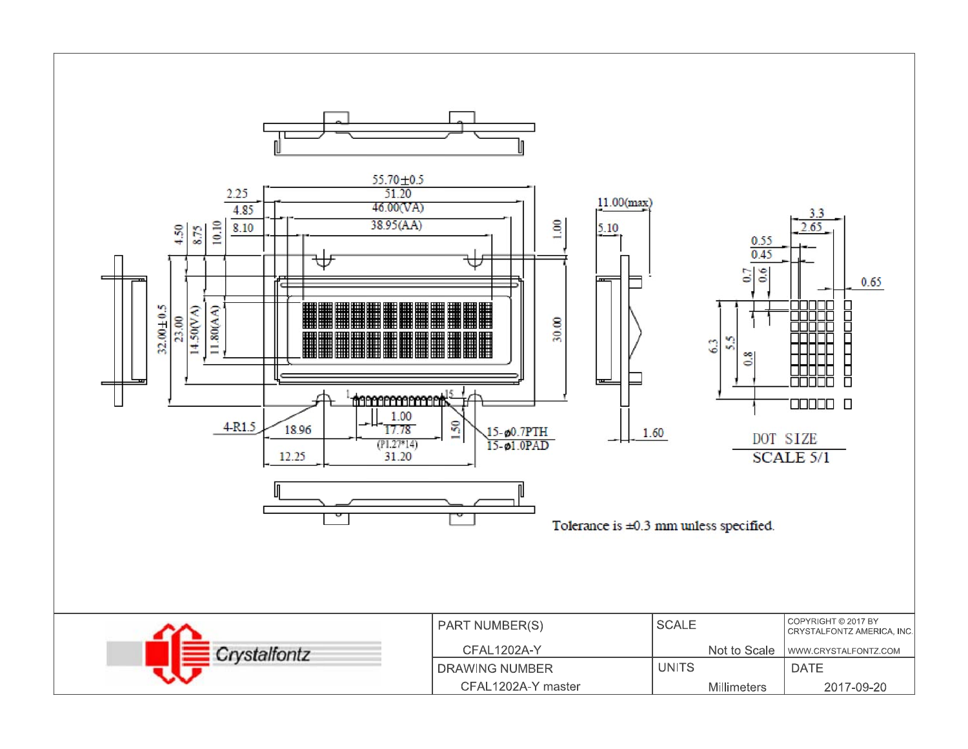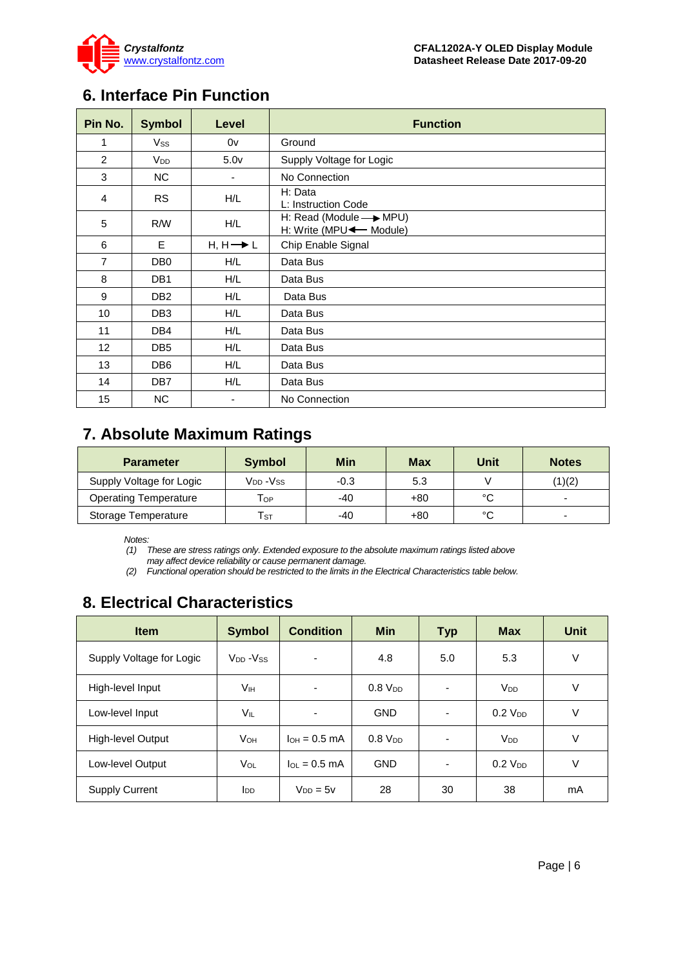

### <span id="page-5-0"></span>**6. Interface Pin Function**

| Pin No.        | <b>Symbol</b>          | Level                    | <b>Function</b>                                                     |
|----------------|------------------------|--------------------------|---------------------------------------------------------------------|
| 1              | Vss                    | 0v                       | Ground                                                              |
| $\overline{2}$ | <b>V</b> <sub>DD</sub> | 5.0 <sub>v</sub>         | Supply Voltage for Logic                                            |
| 3              | NC.                    | $\overline{\phantom{a}}$ | No Connection                                                       |
| 4              | <b>RS</b>              | H/L                      | H: Data<br>L: Instruction Code                                      |
| 5              | R/W                    | H/L                      | H: Read (Module $\longrightarrow$ MPU)<br>H: Write (MPU < - Module) |
| 6              | E.                     | $H, H \rightarrow L$     | Chip Enable Signal                                                  |
| $\overline{7}$ | DB <sub>0</sub>        | H/L                      | Data Bus                                                            |
| 8              | DB <sub>1</sub>        | H/L                      | Data Bus                                                            |
| 9              | DB <sub>2</sub>        | H/L                      | Data Bus                                                            |
| 10             | DB <sub>3</sub>        | H/L                      | Data Bus                                                            |
| 11             | DB4                    | H/L                      | Data Bus                                                            |
| 12             | DB <sub>5</sub>        | H/L                      | Data Bus                                                            |
| 13             | DB <sub>6</sub>        | H/L                      | Data Bus                                                            |
| 14             | DB7                    | H/L                      | Data Bus                                                            |
| 15             | <b>NC</b>              | -                        | No Connection                                                       |

### <span id="page-5-1"></span>**7. Absolute Maximum Ratings**

| <b>Parameter</b>             | <b>Symbol</b>              | Min    | <b>Max</b> | Unit | <b>Notes</b> |
|------------------------------|----------------------------|--------|------------|------|--------------|
| Supply Voltage for Logic     | V <sub>DD</sub> -Vss       | $-0.3$ | 5.3        |      | (1)(2)       |
| <b>Operating Temperature</b> | Тор                        | -40    | +80        | °C   | -            |
| <b>Storage Temperature</b>   | $\mathsf{T}_{\texttt{ST}}$ | -40    | +80        | °C   | -            |

*Notes:*

*(1) These are stress ratings only. Extended exposure to the absolute maximum ratings listed above may affect device reliability or cause permanent damage.* 

*(2) Functional operation should be restricted to the limits in the Electrical Characteristics table below.*

# <span id="page-5-2"></span>**8. Electrical Characteristics**

| <b>Item</b>              | <b>Symbol</b>                    | <b>Condition</b>        | <b>Min</b>     | <b>Typ</b> | <b>Max</b>            | Unit   |
|--------------------------|----------------------------------|-------------------------|----------------|------------|-----------------------|--------|
| Supply Voltage for Logic | V <sub>DD</sub> -V <sub>SS</sub> | ٠                       | 4.8            | 5.0        | 5.3                   | V      |
| High-level Input         | Vıн                              | -                       | $0.8 V_{DD}$   |            | <b>V<sub>DD</sub></b> | $\vee$ |
| Low-level Input          | Vil                              | ٠                       | <b>GND</b>     | ۰          | $0.2$ $V_{DD}$        | V      |
| High-level Output        | Vон                              | $I_{OH} = 0.5$ mA       | $0.8$ $V_{DD}$ |            | <b>V<sub>DD</sub></b> | $\vee$ |
| Low-level Output         | VOL                              | $I_{\text{O}} = 0.5$ mA | <b>GND</b>     |            | $0.2$ V <sub>DD</sub> | $\vee$ |
| <b>Supply Current</b>    | <b>I</b> <sub>DD</sub>           | $V_{DD} = 5v$           | 28             | 30         | 38                    | mA     |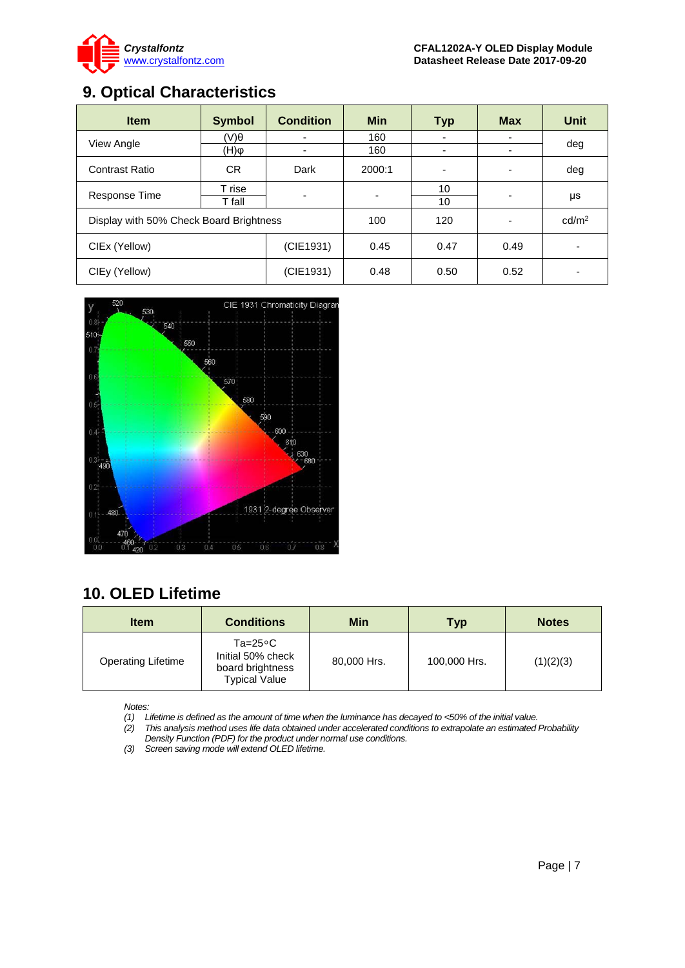

# <span id="page-6-0"></span>**9. Optical Characteristics**

| <b>Item</b>                             | <b>Symbol</b> | <b>Condition</b> | <b>Min</b> | <b>Typ</b> | <b>Max</b> | <b>Unit</b>       |
|-----------------------------------------|---------------|------------------|------------|------------|------------|-------------------|
| View Angle                              | (V)θ          |                  | 160        |            |            | deg               |
|                                         | (Н)ф          |                  | 160        | -          |            |                   |
| Contrast Ratio                          | CR.           | Dark             | 2000:1     |            |            | deg               |
|                                         | T rise        | ۰.               |            | 10         |            |                   |
| Response Time                           | T fall        |                  |            | 10         |            | μs                |
| Display with 50% Check Board Brightness |               |                  | 100        | 120        |            | cd/m <sup>2</sup> |
| CIEx (Yellow)                           |               | (CIE1931)        | 0.45       | 0.47       | 0.49       | ٠                 |
| CIEy (Yellow)                           |               | (CIE1931)        | 0.48       | 0.50       | 0.52       |                   |



# <span id="page-6-1"></span>**10. OLED Lifetime**

| <b>Item</b>               | Min<br><b>Conditions</b>                                                            |             | <b>Typ</b>   | <b>Notes</b> |
|---------------------------|-------------------------------------------------------------------------------------|-------------|--------------|--------------|
| <b>Operating Lifetime</b> | $Ta = 25^{\circ}C$<br>Initial 50% check<br>board brightness<br><b>Typical Value</b> | 80,000 Hrs. | 100,000 Hrs. | (1)(2)(3)    |

*Notes:* 

*(1) Lifetime is defined as the amount of time when the luminance has decayed to <50% of the initial value.*

*(2) This analysis method uses life data obtained under accelerated conditions to extrapolate an estimated Probability Density Function (PDF) for the product under normal use conditions.*

*(3) Screen saving mode will extend OLED lifetime.*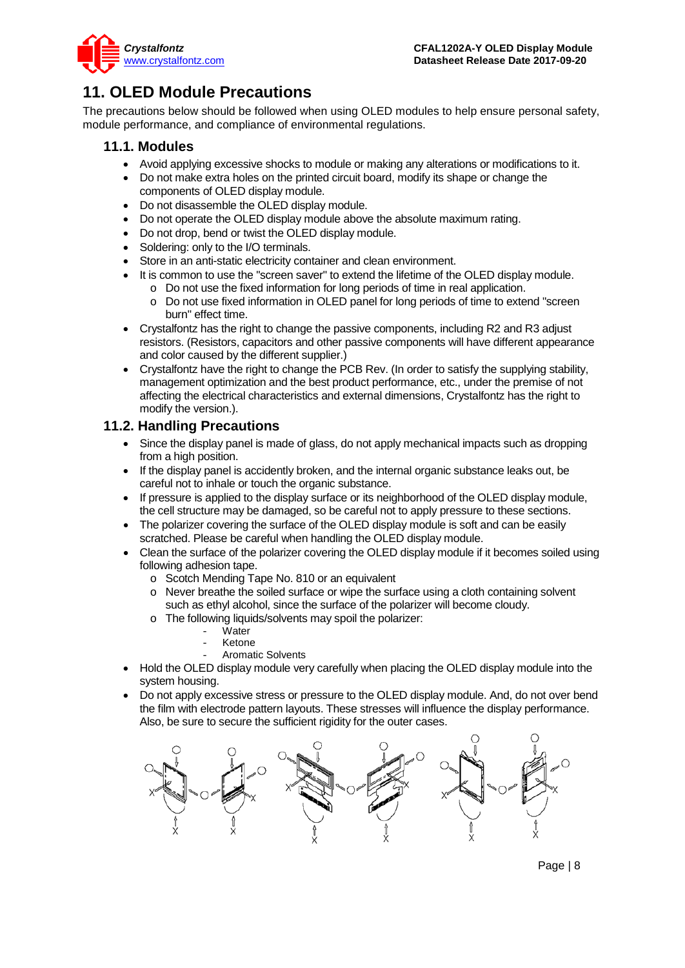

# <span id="page-7-0"></span>**11. OLED Module Precautions**

The precautions below should be followed when using OLED modules to help ensure personal safety, module performance, and compliance of environmental regulations.

#### **11.1. Modules**

- Avoid applying excessive shocks to module or making any alterations or modifications to it.
- Do not make extra holes on the printed circuit board, modify its shape or change the components of OLED display module.
- Do not disassemble the OLED display module.
- Do not operate the OLED display module above the absolute maximum rating.
- Do not drop, bend or twist the OLED display module.
- Soldering: only to the I/O terminals.
- Store in an anti-static electricity container and clean environment.
- It is common to use the "screen saver" to extend the lifetime of the OLED display module.
	- o Do not use the fixed information for long periods of time in real application.
	- o Do not use fixed information in OLED panel for long periods of time to extend "screen burn" effect time.
- Crystalfontz has the right to change the passive components, including R2 and R3 adjust resistors. (Resistors, capacitors and other passive components will have different appearance and color caused by the different supplier.)
- Crystalfontz have the right to change the PCB Rev. (In order to satisfy the supplying stability, management optimization and the best product performance, etc., under the premise of not affecting the electrical characteristics and external dimensions, Crystalfontz has the right to modify the version.).

### **11.2. Handling Precautions**

- Since the display panel is made of glass, do not apply mechanical impacts such as dropping from a high position.
- If the display panel is accidently broken, and the internal organic substance leaks out, be careful not to inhale or touch the organic substance.
- If pressure is applied to the display surface or its neighborhood of the OLED display module, the cell structure may be damaged, so be careful not to apply pressure to these sections.
- The polarizer covering the surface of the OLED display module is soft and can be easily scratched. Please be careful when handling the OLED display module.
- Clean the surface of the polarizer covering the OLED display module if it becomes soiled using following adhesion tape.
	- o Scotch Mending Tape No. 810 or an equivalent
	- o Never breathe the soiled surface or wipe the surface using a cloth containing solvent such as ethyl alcohol, since the surface of the polarizer will become cloudy.
	- o The following liquids/solvents may spoil the polarizer:
		- Water
		- **Ketone**
		- Aromatic Solvents
- Hold the OLED display module very carefully when placing the OLED display module into the system housing.
- Do not apply excessive stress or pressure to the OLED display module. And, do not over bend the film with electrode pattern layouts. These stresses will influence the display performance. Also, be sure to secure the sufficient rigidity for the outer cases.

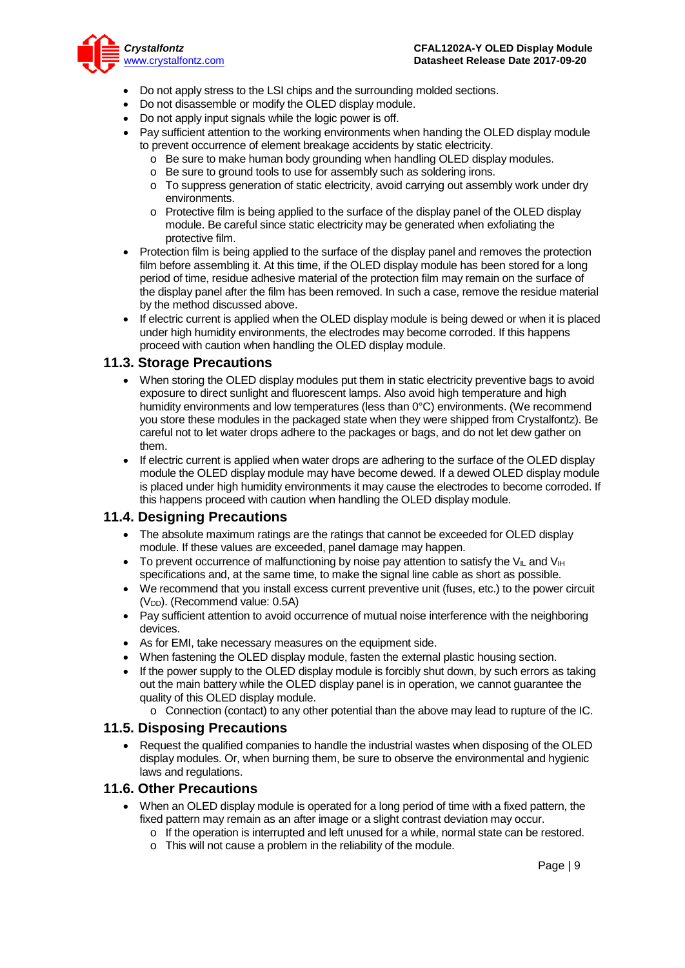

- Do not apply stress to the LSI chips and the surrounding molded sections.
- Do not disassemble or modify the OLED display module.
- Do not apply input signals while the logic power is off.
- Pay sufficient attention to the working environments when handing the OLED display module to prevent occurrence of element breakage accidents by static electricity.
	- o Be sure to make human body grounding when handling OLED display modules.
	- o Be sure to ground tools to use for assembly such as soldering irons.
	- o To suppress generation of static electricity, avoid carrying out assembly work under dry environments.
	- $\circ$  Protective film is being applied to the surface of the display panel of the OLED display module. Be careful since static electricity may be generated when exfoliating the protective film.
- Protection film is being applied to the surface of the display panel and removes the protection film before assembling it. At this time, if the OLED display module has been stored for a long period of time, residue adhesive material of the protection film may remain on the surface of the display panel after the film has been removed. In such a case, remove the residue material by the method discussed above.
- If electric current is applied when the OLED display module is being dewed or when it is placed under high humidity environments, the electrodes may become corroded. If this happens proceed with caution when handling the OLED display module.

#### **11.3. Storage Precautions**

- When storing the OLED display modules put them in static electricity preventive bags to avoid exposure to direct sunlight and fluorescent lamps. Also avoid high temperature and high humidity environments and low temperatures (less than 0°C) environments. (We recommend you store these modules in the packaged state when they were shipped from Crystalfontz). Be careful not to let water drops adhere to the packages or bags, and do not let dew gather on them.
- If electric current is applied when water drops are adhering to the surface of the OLED display module the OLED display module may have become dewed. If a dewed OLED display module is placed under high humidity environments it may cause the electrodes to become corroded. If this happens proceed with caution when handling the OLED display module.

#### **11.4. Designing Precautions**

- The absolute maximum ratings are the ratings that cannot be exceeded for OLED display module. If these values are exceeded, panel damage may happen.
- To prevent occurrence of malfunctioning by noise pay attention to satisfy the V<sub>II</sub> and V<sub>IH</sub> specifications and, at the same time, to make the signal line cable as short as possible.
- We recommend that you install excess current preventive unit (fuses, etc.) to the power circuit (V<sub>DD</sub>). (Recommend value: 0.5A)
- Pay sufficient attention to avoid occurrence of mutual noise interference with the neighboring devices.
- As for EMI, take necessary measures on the equipment side.
- When fastening the OLED display module, fasten the external plastic housing section.
- If the power supply to the OLED display module is forcibly shut down, by such errors as taking out the main battery while the OLED display panel is in operation, we cannot guarantee the quality of this OLED display module.
	- o Connection (contact) to any other potential than the above may lead to rupture of the IC.

#### **11.5. Disposing Precautions**

• Request the qualified companies to handle the industrial wastes when disposing of the OLED display modules. Or, when burning them, be sure to observe the environmental and hygienic laws and regulations.

#### **11.6. Other Precautions**

- When an OLED display module is operated for a long period of time with a fixed pattern, the fixed pattern may remain as an after image or a slight contrast deviation may occur.
	- $\circ$  If the operation is interrupted and left unused for a while, normal state can be restored.
	- o This will not cause a problem in the reliability of the module.